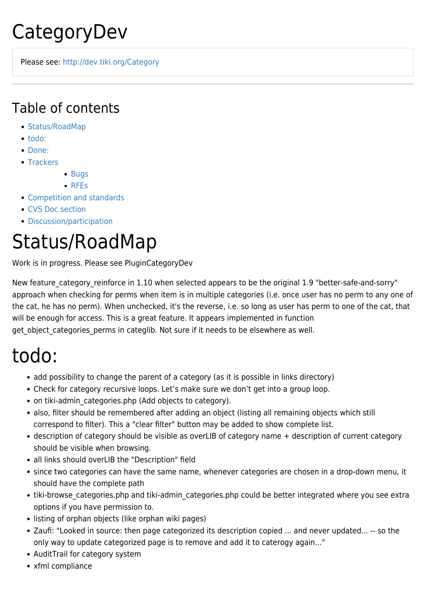# CategoryDev

Please see: <http://dev.tiki.org/Category>

#### Table of contents

- [Status/RoadMap](#page--1-0)
- [todo:](#page--1-0)
- [Done:](#page--1-0)
- [Trackers](#page--1-0)
	- **[Bugs](#page--1-0)** 
		- [RFEs](#page--1-0)
- [Competition and standards](#page--1-0)
- [CVS Doc section](#page--1-0)
- [Discussion/participation](#page--1-0)

### Status/RoadMap

Work is in progress. Please see PluginCategoryDev

New feature category reinforce in 1.10 when selected appears to be the original 1.9 "better-safe-and-sorry" approach when checking for perms when item is in multiple categories (i.e. once user has no perm to any one of the cat, he has no perm). When unchecked, it's the reverse, i.e. so long as user has perm to one of the cat, that will be enough for access. This is a great feature. It appears implemented in function get object categories perms in categlib. Not sure if it needs to be elsewhere as well.

### todo:

- add possibility to change the parent of a category (as it is possible in links directory)
- Check for category recursive loops. Let's make sure we don't get into a group loop.
- on tiki-admin\_categories.php (Add objects to category).
- also, filter should be remembered after adding an object (listing all remaining objects which still correspond to filter). This a "clear filter" button may be added to show complete list.
- description of category should be visible as overLIB of category name + description of current category should be visible when browsing.
- all links should overLIB the "Description" field
- since two categories can have the same name, whenever categories are chosen in a drop-down menu, it should have the complete path
- tiki-browse\_categories.php and tiki-admin\_categories.php could be better integrated where you see extra options if you have permission to.
- listing of orphan objects (like orphan wiki pages)
- Zaufi: "Looked in source: then page categorized its description copied ... and never updated... -- so the only way to update categorized page is to remove and add it to caterogy again..."
- AuditTrail for category system
- xfml compliance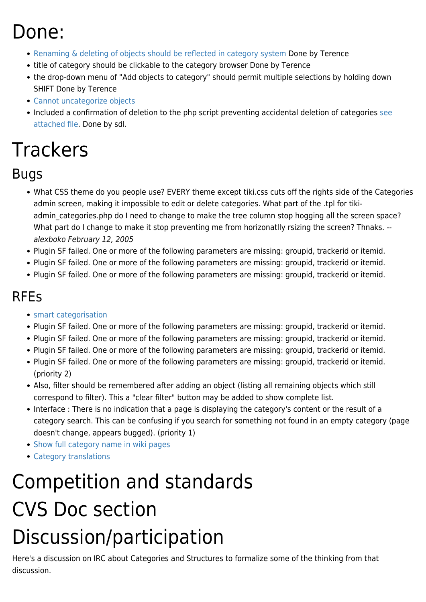### Done:

- [Renaming & deleting of objects should be reflected in category system](http://sf.net/tracker/index.php?func=detail&aid=774061&group_id=64258&atid=506846) Done by Terence
- title of category should be clickable to the category browser Done by Terence
- the drop-down menu of "Add objects to category" should permit multiple selections by holding down SHIFT Done by Terence
- [Cannot uncategorize objects](http://sf.net/tracker/index.php?func=detail&aid=769306&group_id=64258&atid=506846)
- Included a confirmation of deletion to the php script preventing accidental deletion of categories [see](https://tiki.org/tiki-download_wiki_attachment.php?attId=253) [attached file](https://tiki.org/tiki-download_wiki_attachment.php?attId=253). Done by sdl.

# **Trackers**

#### Bugs

- What CSS theme do you people use? EVERY theme except tiki.css cuts off the rights side of the Categories admin screen, making it impossible to edit or delete categories. What part of the .tpl for tikiadmin categories.php do I need to change to make the tree column stop hogging all the screen space? What part do I change to make it stop preventing me from horizonatlly rsizing the screen? Thnaks. -[alexboko](https://tiki.org/tiki-editpage.php?page=UserPagealexboko) February 12, 2005
- Plugin SF failed. One or more of the following parameters are missing: groupid, trackerid or itemid.
- Plugin SF failed. One or more of the following parameters are missing: groupid, trackerid or itemid.
- Plugin SF failed. One or more of the following parameters are missing: groupid, trackerid or itemid.

#### RFEs

- [smart categorisation](http://sourceforge.net/tracker/?group_id=64258&atid=506849&func=detail&aid=738086)
- Plugin SF failed. One or more of the following parameters are missing: groupid, trackerid or itemid.
- Plugin SF failed. One or more of the following parameters are missing: groupid, trackerid or itemid.
- Plugin SF failed. One or more of the following parameters are missing: groupid, trackerid or itemid.
- Plugin SF failed. One or more of the following parameters are missing: groupid, trackerid or itemid. (priority 2)
- Also, filter should be remembered after adding an object (listing all remaining objects which still correspond to filter). This a "clear filter" button may be added to show complete list.
- Interface : There is no indication that a page is displaying the category's content or the result of a category search. This can be confusing if you search for something not found in an empty category (page doesn't change, appears bugged). (priority 1)
- [Show full category name in wiki pages](http://sourceforge.net/tracker/index.php?func=detail&aid=911598&group_id=64258&atid=506849)
- [Category translations](https://sourceforge.net/tracker/index.php?func=detail&aid=1015726&group_id=64258&atid=506849)

# Competition and standards CVS Doc section Discussion/participation

Here's a discussion on IRC about Categories and Structures to formalize some of the thinking from that discussion.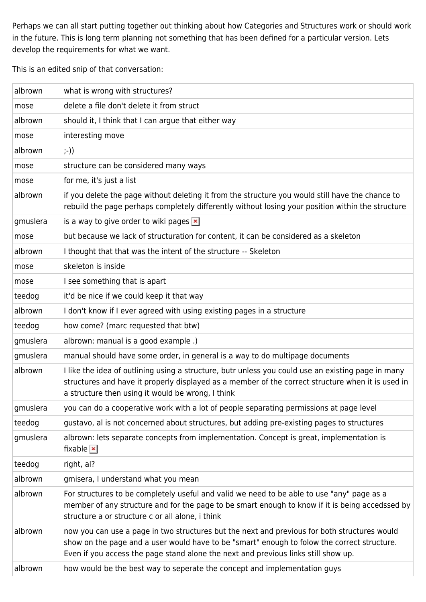Perhaps we can all start putting together out thinking about how Categories and Structures work or should work in the future. This is long term planning not something that has been defined for a particular version. Lets develop the requirements for what we want.

This is an edited snip of that conversation:

| albrown  | what is wrong with structures?                                                                                                                                                                                                                                                    |
|----------|-----------------------------------------------------------------------------------------------------------------------------------------------------------------------------------------------------------------------------------------------------------------------------------|
| mose     | delete a file don't delete it from struct                                                                                                                                                                                                                                         |
| albrown  | should it, I think that I can argue that either way                                                                                                                                                                                                                               |
| mose     | interesting move                                                                                                                                                                                                                                                                  |
| albrown  | $; -))$                                                                                                                                                                                                                                                                           |
| mose     | structure can be considered many ways                                                                                                                                                                                                                                             |
| mose     | for me, it's just a list                                                                                                                                                                                                                                                          |
| albrown  | if you delete the page without deleting it from the structure you would still have the chance to<br>rebuild the page perhaps completely differently without losing your position within the structure                                                                             |
| gmuslera | is a way to give order to wiki pages $\vert \mathbf{x} \vert$                                                                                                                                                                                                                     |
| mose     | but because we lack of structuration for content, it can be considered as a skeleton                                                                                                                                                                                              |
| albrown  | I thought that that was the intent of the structure -- Skeleton                                                                                                                                                                                                                   |
| mose     | skeleton is inside                                                                                                                                                                                                                                                                |
| mose     | I see something that is apart                                                                                                                                                                                                                                                     |
| teedog   | it'd be nice if we could keep it that way                                                                                                                                                                                                                                         |
| albrown  | I don't know if I ever agreed with using existing pages in a structure                                                                                                                                                                                                            |
| teedog   | how come? (marc requested that btw)                                                                                                                                                                                                                                               |
| gmuslera | albrown: manual is a good example.)                                                                                                                                                                                                                                               |
| gmuslera | manual should have some order, in general is a way to do multipage documents                                                                                                                                                                                                      |
| albrown  | I like the idea of outlining using a structure, butr unless you could use an existing page in many<br>structures and have it properly displayed as a member of the correct structure when it is used in<br>a structure then using it would be wrong, I think                      |
| gmuslera | you can do a cooperative work with a lot of people separating permissions at page level                                                                                                                                                                                           |
| teedog   | gustavo, al is not concerned about structures, but adding pre-existing pages to structures                                                                                                                                                                                        |
| gmuslera | albrown: lets separate concepts from implementation. Concept is great, implementation is<br>fixable $\vert \mathbf{x} \vert$                                                                                                                                                      |
| teedog   | right, al?                                                                                                                                                                                                                                                                        |
| albrown  | gmisera, I understand what you mean                                                                                                                                                                                                                                               |
| albrown  | For structures to be completely useful and valid we need to be able to use "any" page as a<br>member of any structure and for the page to be smart enough to know if it is being accedssed by<br>structure a or structure c or all alone, i think                                 |
| albrown  | now you can use a page in two structures but the next and previous for both structures would<br>show on the page and a user would have to be "smart" enough to folow the correct structure.<br>Even if you access the page stand alone the next and previous links still show up. |
| albrown  | how would be the best way to seperate the concept and implementation guys                                                                                                                                                                                                         |